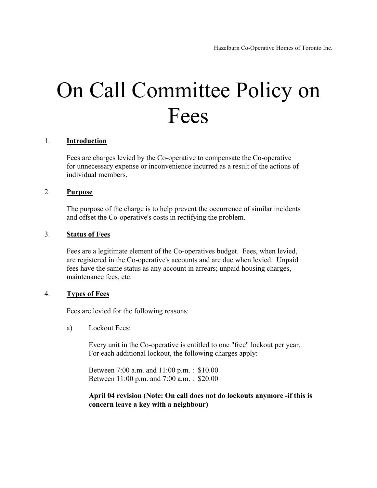# On Call Committee Policy on Fees

#### 1. **Introduction**

Fees are charges levied by the Co-operative to compensate the Co-operative for unnecessary expense or inconvenience incurred as a result of the actions of individual members.

#### 2. **Purpose**

The purpose of the charge is to help prevent the occurrence of similar incidents and offset the Co-operative's costs in rectifying the problem.

### 3. **Status of Fees**

Fees are a legitimate element of the Co-operatives budget. Fees, when levied, are registered in the Co-operative's accounts and are due when levied. Unpaid fees have the same status as any account in arrears; unpaid housing charges, maintenance fees, etc.

### 4. **Types of Fees**

Fees are levied for the following reasons:

a) Lockout Fees:

Every unit in the Co-operative is entitled to one "free" lockout per year. For each additional lockout, the following charges apply:

Between 7:00 a.m. and 11:00 p.m. : \$10.00 Between 11:00 p.m. and 7:00 a.m. : \$20.00

## **April 04 revision (Note: On call does not do lockouts anymore -if this is concern leave a key with a neighbour)**